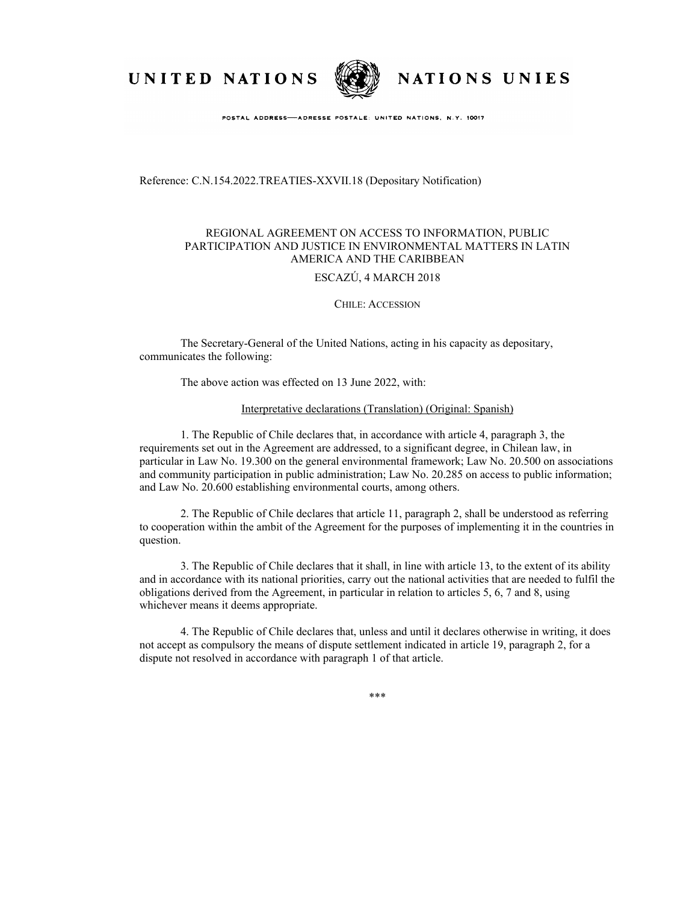UNITED NATIONS



NATIONS UNIES

POSTAL ADDRESS-ADRESSE POSTALE: UNITED NATIONS, N.Y. 10017

Reference: C.N.154.2022.TREATIES-XXVII.18 (Depositary Notification)

## REGIONAL AGREEMENT ON ACCESS TO INFORMATION, PUBLIC PARTICIPATION AND JUSTICE IN ENVIRONMENTAL MATTERS IN LATIN AMERICA AND THE CARIBBEAN

## ESCAZÚ, 4 MARCH 2018

## CHILE: ACCESSION

The Secretary-General of the United Nations, acting in his capacity as depositary, communicates the following:

The above action was effected on 13 June 2022, with:

## Interpretative declarations (Translation) (Original: Spanish)

1. The Republic of Chile declares that, in accordance with article 4, paragraph 3, the requirements set out in the Agreement are addressed, to a significant degree, in Chilean law, in particular in Law No. 19.300 on the general environmental framework; Law No. 20.500 on associations and community participation in public administration; Law No. 20.285 on access to public information; and Law No. 20.600 establishing environmental courts, among others.

2. The Republic of Chile declares that article 11, paragraph 2, shall be understood as referring to cooperation within the ambit of the Agreement for the purposes of implementing it in the countries in question.

3. The Republic of Chile declares that it shall, in line with article 13, to the extent of its ability and in accordance with its national priorities, carry out the national activities that are needed to fulfil the obligations derived from the Agreement, in particular in relation to articles 5, 6, 7 and 8, using whichever means it deems appropriate.

4. The Republic of Chile declares that, unless and until it declares otherwise in writing, it does not accept as compulsory the means of dispute settlement indicated in article 19, paragraph 2, for a dispute not resolved in accordance with paragraph 1 of that article.

\*\*\*